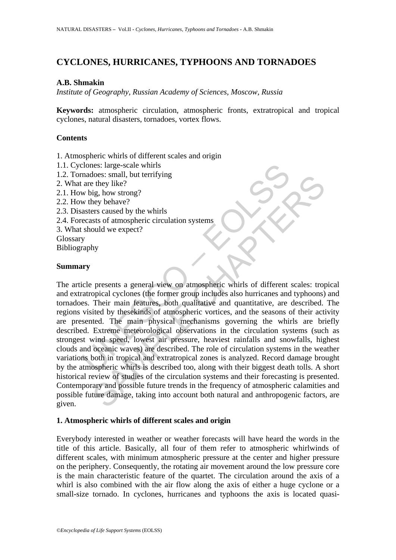# **CYCLONES, HURRICANES, TYPHOONS AND TORNADOES**

### **A.B. Shmakin**

*Institute of Geography, Russian Academy of Sciences, Moscow, Russia* 

**Keywords:** atmospheric circulation, atmospheric fronts, extratropical and tropical cyclones, natural disasters, tornadoes, vortex flows.

### **Contents**

- 1. Atmospheric whirls of different scales and origin
- 1.1. Cyclones: large-scale whirls
- 1.2. Tornadoes: small, but terrifying
- 2. What are they like?
- 2.1. How big, how strong?
- 2.2. How they behave?
- 2.3. Disasters caused by the whirls
- 2.4. Forecasts of atmospheric circulation systems
- 3. What should we expect?

Glossary

Bibliography

### **Summary**

conses: large-scale whirls<br>
are they like?<br>
are they like?<br>
we big, how strong?<br>
we higheer which<br>
we behave?<br>
we behave?<br>
we behave?<br>
we behave?<br>
asters caused by the whirls<br>
should we expect?<br>
should we expect?<br>
should w The set can be the content of the content of the set they like they like ?<br>
Set they like ?<br>
Set they like ?<br>
Set they like ?<br>
States and the whirls<br>
states of amospheric circulation systems<br>
sould we expect?<br>
My<br>
hy<br>
pres The article presents a general view on atmospheric whirls of different scales: tropical and extratropical cyclones (the former group includes also hurricanes and typhoons) and tornadoes. Their main features, both qualitative and quantitative, are described. The regions visited by thesekinds of atmospheric vortices, and the seasons of their activity are presented. The main physical mechanisms governing the whirls are briefly described. Extreme meteorological observations in the circulation systems (such as strongest wind speed, lowest air pressure, heaviest rainfalls and snowfalls, highest clouds and oceanic waves) are described. The role of circulation systems in the weather variations both in tropical and extratropical zones is analyzed. Record damage brought by the atmospheric whirls is described too, along with their biggest death tolls. A short historical review of studies of the circulation systems and their forecasting is presented. Contemporary and possible future trends in the frequency of atmospheric calamities and possible future damage, taking into account both natural and anthropogenic factors, are given.

#### **1. Atmospheric whirls of different scales and origin**

Everybody interested in weather or weather forecasts will have heard the words in the title of this article. Basically, all four of them refer to atmospheric whirlwinds of different scales, with minimum atmospheric pressure at the center and higher pressure on the periphery. Consequently, the rotating air movement around the low pressure core is the main characteristic feature of the quartet. The circulation around the axis of a whirl is also combined with the air flow along the axis of either a huge cyclone or a small-size tornado. In cyclones, hurricanes and typhoons the axis is located quasi-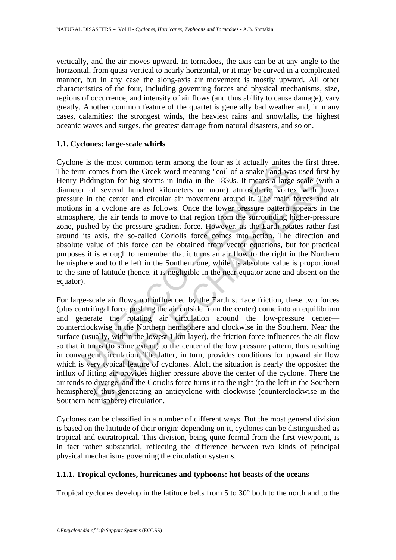vertically, and the air moves upward. In tornadoes, the axis can be at any angle to the horizontal, from quasi-vertical to nearly horizontal, or it may be curved in a complicated manner, but in any case the along-axis air movement is mostly upward. All other characteristics of the four, including governing forces and physical mechanisms, size, regions of occurrence, and intensity of air flows (and thus ability to cause damage), vary greatly. Another common feature of the quartet is generally bad weather and, in many cases, calamities: the strongest winds, the heaviest rains and snowfalls, the highest oceanic waves and surges, the greatest damage from natural disasters, and so on.

### **1.1. Cyclones: large-scale whirls**

E is the most common term among the room as a ractually dimested on the Greek word meaning "coil of a snake" and was relation for big storms in India in the 1830s. It means a large of several hundred kilometers or more) a dington for big storms in India in the 1830s. It means a large-scale (with the denter and circular air movement around it. The main fronces and cyclone are as follows. Once the lower pressure pattern appears in the center Cyclone is the most common term among the four as it actually unites the first three. The term comes from the Greek word meaning "coil of a snake" and was used first by Henry Piddington for big storms in India in the 1830s. It means a large-scale (with a diameter of several hundred kilometers or more) atmospheric vortex with lower pressure in the center and circular air movement around it. The main forces and air motions in a cyclone are as follows. Once the lower pressure pattern appears in the atmosphere, the air tends to move to that region from the surrounding higher-pressure zone, pushed by the pressure gradient force. However, as the Earth rotates rather fast around its axis, the so-called Coriolis force comes into action. The direction and absolute value of this force can be obtained from vector equations, but for practical purposes it is enough to remember that it turns an air flow to the right in the Northern hemisphere and to the left in the Southern one, while its absolute value is proportional to the sine of latitude (hence, it is negligible in the near-equator zone and absent on the equator).

For large-scale air flows not influenced by the Earth surface friction, these two forces (plus centrifugal force pushing the air outside from the center) come into an equilibrium and generate the rotating air circulation around the low-pressure center counterclockwise in the Northern hemisphere and clockwise in the Southern. Near the surface (usually, within the lowest 1 km layer), the friction force influences the air flow so that it turns (to some extent) to the center of the low pressure pattern, thus resulting in convergent circulation. The latter, in turn, provides conditions for upward air flow which is very typical feature of cyclones. Aloft the situation is nearly the opposite: the influx of lifting air provides higher pressure above the center of the cyclone. There the air tends to diverge, and the Coriolis force turns it to the right (to the left in the Southern hemisphere), thus generating an anticyclone with clockwise (counterclockwise in the Southern hemisphere) circulation.

Cyclones can be classified in a number of different ways. But the most general division is based on the latitude of their origin: depending on it, cyclones can be distinguished as tropical and extratropical. This division, being quite formal from the first viewpoint, is in fact rather substantial, reflecting the difference between two kinds of principal physical mechanisms governing the circulation systems.

### **1.1.1. Tropical cyclones, hurricanes and typhoons: hot beasts of the oceans**

Tropical cyclones develop in the latitude belts from 5 to 30° both to the north and to the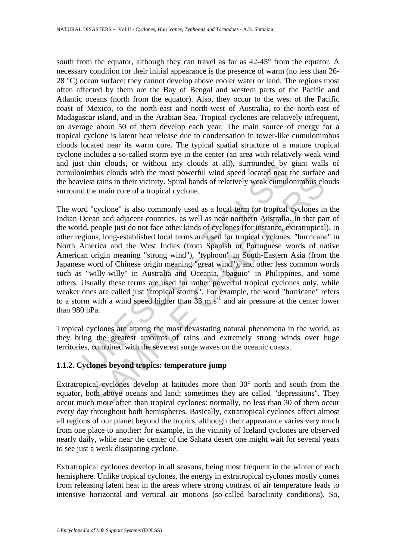south from the equator, although they can travel as far as 42-45° from the equator. A necessary condition for their initial appearance is the presence of warm (no less than 26- 28 °C) ocean surface; they cannot develop above cooler water or land. The regions most often affected by them are the Bay of Bengal and western parts of the Pacific and Atlantic oceans (north from the equator). Also, they occur to the west of the Pacific coast of Mexico, to the north-east and north-west of Australia, to the north-east of Madagascar island, and in the Arabian Sea. Tropical cyclones are relatively infrequent, on average about 50 of them develop each year. The main source of energy for a tropical cyclone is latent heat release due to condensation in tower-like cumulonimbus clouds located near its warm core. The typical spatial structure of a mature tropical cyclone includes a so-called storm eye in the center (an area with relatively weak wind and just thin clouds, or without any clouds at all), surrounded by giant walls of cumulonimbus clouds with the most powerful wind speed located near the surface and the heaviest rains in their vicinity. Spiral bands of relatively weak cumulonimbus clouds surround the main core of a tropical cyclone.

It tinn clouds, or without any clouds at all), surrounded by<br>nimbus clouds with the most powerful wind speed located near twist vient sim in their vicinity. Spiral bands of relatively weak cumult<br>viest rains in their vici Low stocks what are most powertin wind spect ocalisation that trains in their victinity. Spiral bands of relatively weak cumultonimbus ele main core of a tropical cyclone.<br>
"cyclone" is also commonly used as a local term The word "cyclone" is also commonly used as a local term for tropical cyclones in the Indian Ocean and adjacent countries, as well as near northern Australia. In that part of the world, people just do not face other kinds of cyclones (for instance, extratropical). In other regions, long-established local terms are used for tropical cyclones: "hurricane" in North America and the West Indies (from Spanish or Portuguese words of native American origin meaning "strong wind"), "typhoon" in South-Eastern Asia (from the Japanese word of Chinese origin meaning "great wind"), and other less common words such as "willy-willy" in Australia and Oceania, "baguio" in Philippines, and some others. Usually these terms are used for rather powerful tropical cyclones only, while weaker ones are called just "tropical storms". For example, the word "hurricane" refers to a storm with a wind speed higher than  $33 \text{ m s}^{-1}$  and air pressure at the center lower than 980 hPa.

Tropical cyclones are among the most devastating natural phenomena in the world, as they bring the greatest amounts of rains and extremely strong winds over huge territories, combined with the severest surge waves on the oceanic coasts.

## **1.1.2. Cyclones beyond tropics: temperature jump**

Extratropical cyclones develop at latitudes more than 30° north and south from the equator, both above oceans and land; sometimes they are called "depressions". They occur much more often than tropical cyclones: normally, no less than 30 of them occur every day throughout both hemispheres. Basically, extratropical cyclones affect almost all regions of our planet beyond the tropics, although their appearance varies very much from one place to another: for example, in the vicinity of Iceland cyclones are observed nearly daily, while near the center of the Sahara desert one might wait for several years to see just a weak dissipating cyclone.

Extratropical cyclones develop in all seasons, being most frequent in the winter of each hemisphere. Unlike tropical cyclones, the energy in extratropical cyclones mostly comes from releasing latent heat in the areas where strong contrast of air temperature leads to intensive horizontal and vertical air motions (so-called baroclinity conditions). So,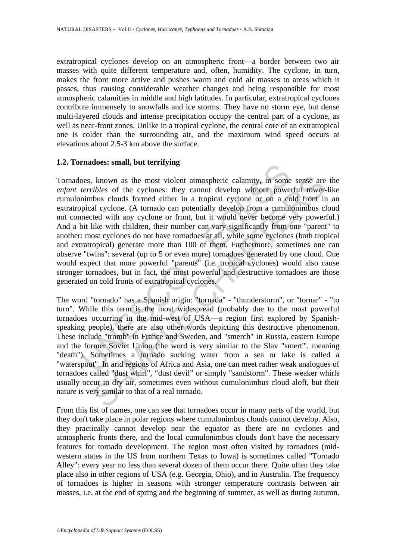extratropical cyclones develop on an atmospheric front—a border between two air masses with quite different temperature and, often, humidity. The cyclone, in turn, makes the front more active and pushes warm and cold air masses to areas which it passes, thus causing considerable weather changes and being responsible for most atmospheric calamities in middle and high latitudes. In particular, extratropical cyclones contribute immensely to snowfalls and ice storms. They have no storm eye, but dense multi-layered clouds and intense precipitation occupy the central part of a cyclone, as well as near-front zones. Unlike in a tropical cyclone, the central core of an extratropical one is colder than the surrounding air, and the maximum wind speed occurs at elevations about 2.5-3 km above the surface.

#### **1.2. Tornadoes: small, but terrifying**

madoes. sinan, but derinying<br>
bes, known as the most violent atmospheric calamity, in some<br> *terribles* of the cyclones: they cannot develop without powe<br>
nimbus clouds formed either in a tropical cyclone or on a co<br>
pica known as the most violent atmospheric calamity, in some sense are *ribles* of the cyclones: they cannot develop without powerful towerbus clouds formed either in a tropical cyclone or on a cold from in a cold solution. In Tornadoes, known as the most violent atmospheric calamity, in some sense are the *enfant terribles* of the cyclones: they cannot develop without powerful tower-like cumulonimbus clouds formed either in a tropical cyclone or on a cold front in an extratropical cyclone. (A tornado can potentially develop from a cumulonimbus cloud not connected with any cyclone or front, but it would never become very powerful.) And a bit like with children, their number can vary significantly from one "parent" to another: most cyclones do not have tornadoes at all, while some cyclones (both tropical and extratropical) generate more than 100 of them. Furthermore, sometimes one can observe "twins": several (up to 5 or even more) tornadoes generated by one cloud. One would expect that more powerful "parents" (i.e. tropical cyclones) would also cause stronger tornadoes, but in fact, the most powerful and destructive tornadoes are those generated on cold fronts of extratropical cyclones.

The word "tornado" has a Spanish origin: "tornada" - "thunderstorm", or "tornar" - "to turn". While this term is the most widespread (probably due to the most powerful tornadoes occurring in the mid-west of USA—a region first explored by Spanishspeaking people), there are also other words depicting this destructive phenomenon. These include "tromb" in France and Sweden, and "smerch" in Russia, eastern Europe and the former Soviet Union (the word is very similar to the Slav "smert'", meaning "death"). Sometimes a tornado sucking water from a sea or lake is called a "waterspout". In arid regions of Africa and Asia, one can meet rather weak analogues of tornadoes called "dust whirl", "dust devil" or simply "sandstorm". These weaker whirls usually occur in dry air, sometimes even without cumulonimbus cloud aloft, but their nature is very similar to that of a real tornado.

From this list of names, one can see that tornadoes occur in many parts of the world, but they don't take place in polar regions where cumulonimbus clouds cannot develop. Also, they practically cannot develop near the equator as there are no cyclones and atmospheric fronts there, and the local cumulonimbus clouds don't have the necessary features for tornado development. The region most often visited by tornadoes (midwestern states in the US from northern Texas to Iowa) is sometimes called "Tornado Alley": every year no less than several dozen of them occur there. Quite often they take place also in other regions of USA (e.g. Georgia, Ohio), and in Australia. The frequency of tornadoes is higher in seasons with stronger temperature contrasts between air masses, i.e. at the end of spring and the beginning of summer, as well as during autumn.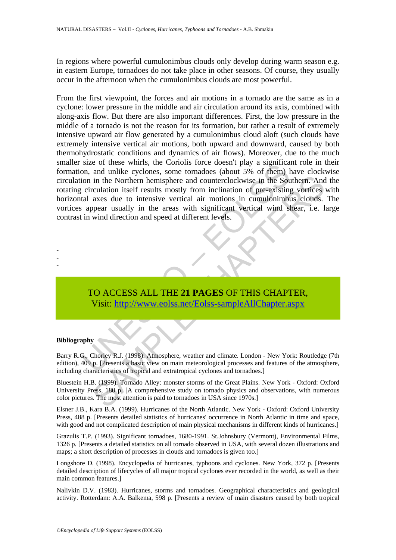In regions where powerful cumulonimbus clouds only develop during warm season e.g. in eastern Europe, tornadoes do not take place in other seasons. Of course, they usually occur in the afternoon when the cumulonimbus clouds are most powerful.

see of unese wints, the Colonis loter doesn't part<br>on, and unlike cyclones, some tornadoes (about 5% of them) high and<br>circulation itself results mostly from inclination of pre-existing<br>tal axes due to intensive vertical a in the Northern hemisphere and counterclockwise in the Southern. And<br>crulation itself results mostly from inclination of pre-existing vortices<br>axes due to intensive vertical air motions in cumulonimbus clouds.<br>Appear usual From the first viewpoint, the forces and air motions in a tornado are the same as in a cyclone: lower pressure in the middle and air circulation around its axis, combined with along-axis flow. But there are also important differences. First, the low pressure in the middle of a tornado is not the reason for its formation, but rather a result of extremely intensive upward air flow generated by a cumulonimbus cloud aloft (such clouds have extremely intensive vertical air motions, both upward and downward, caused by both thermohydrostatic conditions and dynamics of air flows). Moreover, due to the much smaller size of these whirls, the Coriolis force doesn't play a significant role in their formation, and unlike cyclones, some tornadoes (about 5% of them) have clockwise circulation in the Northern hemisphere and counterclockwise in the Southern. And the rotating circulation itself results mostly from inclination of pre-existing vortices with horizontal axes due to intensive vertical air motions in cumulonimbus clouds. The vortices appear usually in the areas with significant vertical wind shear, i.e. large contrast in wind direction and speed at different levels.

## TO ACCESS ALL THE **21 PAGES** OF THIS CHAPTER, Visit: http://www.eolss.net/Eolss-sampleAllChapter.aspx

#### **Bibliography**

- - -

Barry R.G., Chorley R.J. (1998). Atmosphere, weather and climate. London - New York: Routledge (7th edition), 409 p. [Presents a basic view on main meteorological processes and features of the atmosphere, including characteristics of tropical and extratropical cyclones and tornadoes.]

Bluestein H.B. (1999). Tornado Alley: monster storms of the Great Plains. New York - Oxford: Oxford University Press, 180 p. [A comprehensive study on tornado physics and observations, with numerous color pictures. The most attention is paid to tornadoes in USA since 1970s.]

Elsner J.B., Kara B.A. (1999). Hurricanes of the North Atlantic. New York - Oxford: Oxford University Press, 488 p. [Presents detailed statistics of hurricanes' occurrence in North Atlantic in time and space, with good and not complicated description of main physical mechanisms in different kinds of hurricanes.]

Grazulis T.P. (1993). Significant tornadoes, 1680-1991. St.Johnsbury (Vermont), Environmental Films, 1326 p. [Presents a detailed statistics on all tornado observed in USA, with several dozen illustrations and maps; a short description of processes in clouds and tornadoes is given too.]

Longshore D. (1998). Encyclopedia of hurricanes, typhoons and cyclones. New York, 372 p. [Presents detailed description of lifecycles of all major tropical cyclones ever recorded in the world, as well as their main common features.]

Nalivkin D.V. (1983). Hurricanes, storms and tornadoes. Geographical characteristics and geological activity. Rotterdam: A.A. Balkema, 598 p. [Presents a review of main disasters caused by both tropical